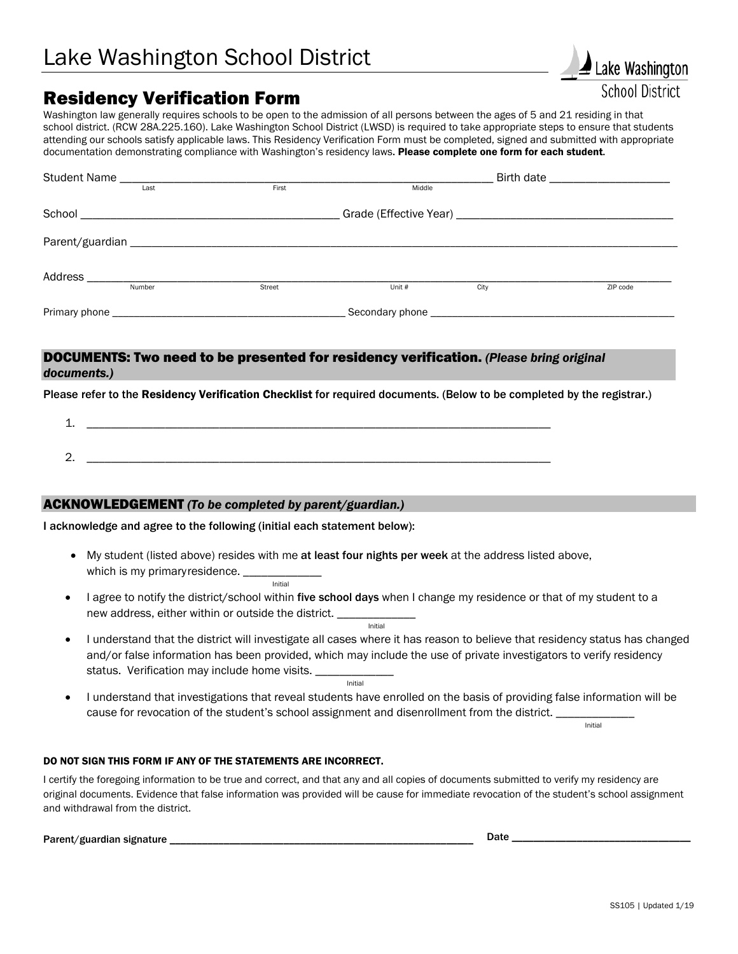# Residency Verification Form

Washington law generally requires schools to be open to the admission of all persons between the ages of 5 and 21 residing in that school district. (RCW 28A.225.160). Lake Washington School District (LWSD) is required to take appropriate steps to ensure that students attending our schools satisfy applicable laws. This Residency Verification Form must be completed, signed and submitted with appropriate documentation demonstrating compliance with Washington's residency laws. Please complete one form for each student.

|                                                                                                                                   | Last   | First           | Middle |      |          |
|-----------------------------------------------------------------------------------------------------------------------------------|--------|-----------------|--------|------|----------|
|                                                                                                                                   |        |                 |        |      |          |
|                                                                                                                                   |        |                 |        |      |          |
|                                                                                                                                   | Number | <b>Street</b>   | Unit # | City | ZIP code |
| Primary phone<br>and the control of the control of the control of the control of the control of the control of the control of the |        | Secondary phone |        |      |          |

## DOCUMENTS: Two need to be presented for residency verification. *(Please bring original documents.)*

Please refer to the Residency Verification Checklist for required documents. (Below to be completed by the registrar.)

1. \_\_\_\_\_\_\_\_\_\_\_\_\_\_\_\_\_\_\_\_\_\_\_\_\_\_\_\_\_\_\_\_\_\_\_\_\_\_\_\_\_\_\_\_\_\_\_\_\_\_\_\_\_\_\_\_\_\_\_\_\_\_\_\_\_\_\_\_\_\_\_\_\_\_\_\_\_  $2.$ 

## ACKNOWLEDGEMENT *(To be completed by parent/guardian.)*

I acknowledge and agree to the following (initial each statement below):

- My student (listed above) resides with me at least four nights per week at the address listed above, which is my primary residence. \_\_\_\_\_\_\_\_\_\_\_\_\_ **Initial**
- I agree to notify the district/school within five school days when I change my residence or that of my student to a new address, either within or outside the district. <u>Initial Contract of the Contract of the Contract of the Contract of the Contract of the Contract of the Contract of the Contract of the Contract of the Contract of the Contract of the Contract of the Contract of the Contr</u>
- I understand that the district will investigate all cases where it has reason to believe that residency status has changed and/or false information has been provided, which may include the use of private investigators to verify residency status. Verification may include home visits. <u>Initial and the second second second initial</u>
- I understand that investigations that reveal students have enrolled on the basis of providing false information will be cause for revocation of the student's school assignment and disenrollment from the district. \_\_\_\_\_\_\_\_\_\_\_\_\_\_\_\_<br>Initial

Lake Washington **School District** 

#### DO NOT SIGN THIS FORM IF ANY OF THE STATEMENTS ARE INCORRECT.

I certify the foregoing information to be true and correct, and that any and all copies of documents submitted to verify my residency are original documents. Evidence that false information was provided will be cause for immediate revocation of the student's school assignment and withdrawal from the district.

Parent/guardian signature \_\_\_\_\_\_\_\_\_\_\_\_\_\_\_\_\_\_\_\_\_\_\_\_\_\_\_\_\_\_\_\_\_\_\_\_\_\_\_\_\_\_\_\_\_\_\_\_\_\_\_\_\_\_\_\_ Date \_\_\_\_\_\_\_\_\_\_\_\_\_\_\_\_\_\_\_\_\_\_\_\_\_\_\_\_\_\_\_\_\_